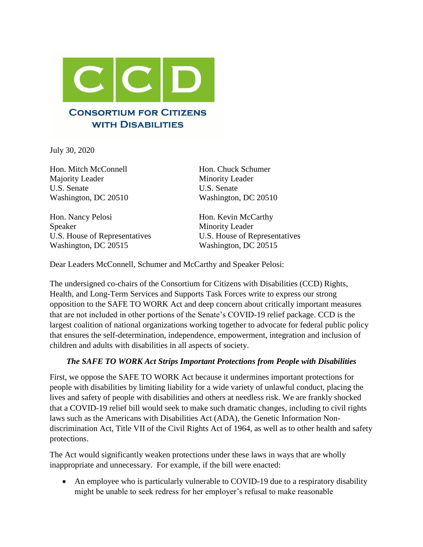

July 30, 2020

Hon. Mitch McConnell Hon. Chuck Schumer Majority Leader Minority Leader U.S. Senate U.S. Senate Washington, DC 20510 Washington, DC 20510

Hon. Nancy Pelosi Hon. Kevin McCarthy Speaker Minority Leader Washington, DC 20515 Washington, DC 20515

U.S. House of Representatives U.S. House of Representatives

Dear Leaders McConnell, Schumer and McCarthy and Speaker Pelosi:

The undersigned co-chairs of the Consortium for Citizens with Disabilities (CCD) Rights, Health, and Long-Term Services and Supports Task Forces write to express our strong opposition to the SAFE TO WORK Act and deep concern about critically important measures that are not included in other portions of the Senate's COVID-19 relief package. CCD is the largest coalition of national organizations working together to advocate for federal public policy that ensures the self-determination, independence, empowerment, integration and inclusion of children and adults with disabilities in all aspects of society.

## *The SAFE TO WORK Act Strips Important Protections from People with Disabilities*

First, we oppose the SAFE TO WORK Act because it undermines important protections for people with disabilities by limiting liability for a wide variety of unlawful conduct, placing the lives and safety of people with disabilities and others at needless risk. We are frankly shocked that a COVID-19 relief bill would seek to make such dramatic changes, including to civil rights laws such as the Americans with Disabilities Act (ADA), the Genetic Information Nondiscrimination Act, Title VII of the Civil Rights Act of 1964, as well as to other health and safety protections.

The Act would significantly weaken protections under these laws in ways that are wholly inappropriate and unnecessary. For example, if the bill were enacted:

• An employee who is particularly vulnerable to COVID-19 due to a respiratory disability might be unable to seek redress for her employer's refusal to make reasonable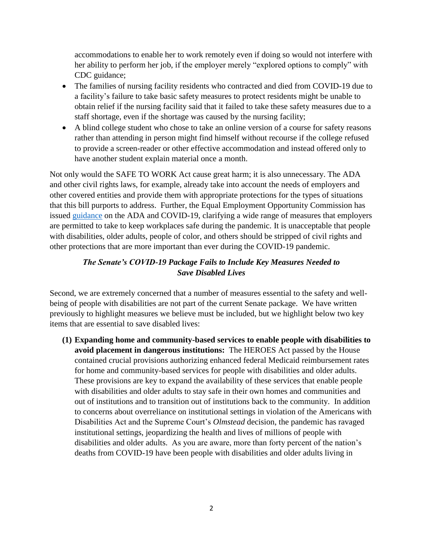accommodations to enable her to work remotely even if doing so would not interfere with her ability to perform her job, if the employer merely "explored options to comply" with CDC guidance;

- The families of nursing facility residents who contracted and died from COVID-19 due to a facility's failure to take basic safety measures to protect residents might be unable to obtain relief if the nursing facility said that it failed to take these safety measures due to a staff shortage, even if the shortage was caused by the nursing facility;
- A blind college student who chose to take an online version of a course for safety reasons rather than attending in person might find himself without recourse if the college refused to provide a screen-reader or other effective accommodation and instead offered only to have another student explain material once a month.

Not only would the SAFE TO WORK Act cause great harm; it is also unnecessary. The ADA and other civil rights laws, for example, already take into account the needs of employers and other covered entities and provide them with appropriate protections for the types of situations that this bill purports to address. Further, the Equal Employment Opportunity Commission has issued [guidance](https://www.eeoc.gov/wysk/what-you-should-know-about-covid-19-and-ada-rehabilitation-act-and-other-eeo-laws) on the ADA and COVID-19, clarifying a wide range of measures that employers are permitted to take to keep workplaces safe during the pandemic. It is unacceptable that people with disabilities, older adults, people of color, and others should be stripped of civil rights and other protections that are more important than ever during the COVID-19 pandemic.

## *The Senate's COVID-19 Package Fails to Include Key Measures Needed to Save Disabled Lives*

Second, we are extremely concerned that a number of measures essential to the safety and wellbeing of people with disabilities are not part of the current Senate package. We have written previously to highlight measures we believe must be included, but we highlight below two key items that are essential to save disabled lives:

**(1) Expanding home and community-based services to enable people with disabilities to avoid placement in dangerous institutions:** The HEROES Act passed by the House contained crucial provisions authorizing enhanced federal Medicaid reimbursement rates for home and community-based services for people with disabilities and older adults. These provisions are key to expand the availability of these services that enable people with disabilities and older adults to stay safe in their own homes and communities and out of institutions and to transition out of institutions back to the community. In addition to concerns about overreliance on institutional settings in violation of the Americans with Disabilities Act and the Supreme Court's *Olmstead* decision, the pandemic has ravaged institutional settings, jeopardizing the health and lives of millions of people with disabilities and older adults. As you are aware, more than forty percent of the nation's deaths from COVID-19 have been people with disabilities and older adults living in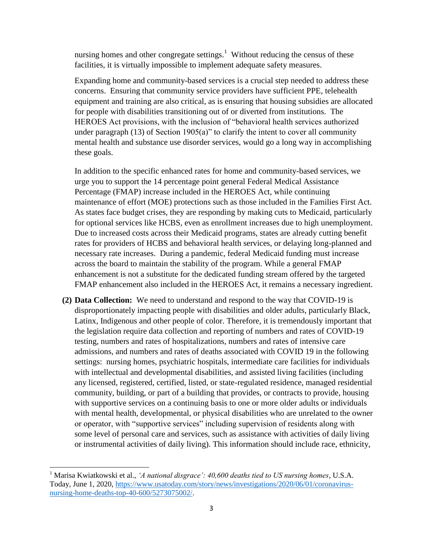nursing homes and other congregate settings.<sup>1</sup> Without reducing the census of these facilities, it is virtually impossible to implement adequate safety measures.

Expanding home and community-based services is a crucial step needed to address these concerns. Ensuring that community service providers have sufficient PPE, telehealth equipment and training are also critical, as is ensuring that housing subsidies are allocated for people with disabilities transitioning out of or diverted from institutions. The HEROES Act provisions, with the inclusion of "behavioral health services authorized under paragraph  $(13)$  of Section 1905 $(a)$ " to clarify the intent to cover all community mental health and substance use disorder services, would go a long way in accomplishing these goals.

In addition to the specific enhanced rates for home and community-based services, we urge you to support the 14 percentage point general Federal Medical Assistance Percentage (FMAP) increase included in the HEROES Act, while continuing maintenance of effort (MOE) protections such as those included in the Families First Act. As states face budget crises, they are responding by making cuts to Medicaid, particularly for optional services like HCBS, even as enrollment increases due to high unemployment. Due to increased costs across their Medicaid programs, states are already cutting benefit rates for providers of HCBS and behavioral health services, or delaying long-planned and necessary rate increases. During a pandemic, federal Medicaid funding must increase across the board to maintain the stability of the program. While a general FMAP enhancement is not a substitute for the dedicated funding stream offered by the targeted FMAP enhancement also included in the HEROES Act, it remains a necessary ingredient.

**(2) Data Collection:** We need to understand and respond to the way that COVID-19 is disproportionately impacting people with disabilities and older adults, particularly Black, Latinx, Indigenous and other people of color. Therefore, it is tremendously important that the legislation require data collection and reporting of numbers and rates of COVID-19 testing, numbers and rates of hospitalizations, numbers and rates of intensive care admissions, and numbers and rates of deaths associated with COVID 19 in the following settings: nursing homes, psychiatric hospitals, intermediate care facilities for individuals with intellectual and developmental disabilities, and assisted living facilities (including any licensed, registered, certified, listed, or state-regulated residence, managed residential community, building, or part of a building that provides, or contracts to provide, housing with supportive services on a continuing basis to one or more older adults or individuals with mental health, developmental, or physical disabilities who are unrelated to the owner or operator, with "supportive services" including supervision of residents along with some level of personal care and services, such as assistance with activities of daily living or instrumental activities of daily living). This information should include race, ethnicity,

 $\overline{a}$ 

<sup>1</sup> Marisa Kwiatkowski et al., *'A national disgrace': 40,600 deaths tied to US nursing homes*, U.S.A. Today, June 1, 2020, [https://www.usatoday.com/story/news/investigations/2020/06/01/coronavirus](https://www.usatoday.com/story/news/investigations/2020/06/01/coronavirus-nursing-home-deaths-top-40-600/5273075002/)[nursing-home-deaths-top-40-600/5273075002/.](https://www.usatoday.com/story/news/investigations/2020/06/01/coronavirus-nursing-home-deaths-top-40-600/5273075002/)